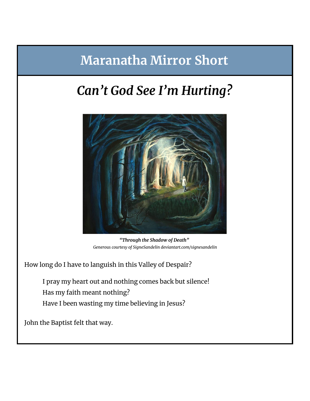## **Maranatha Mirror Short**

## *Can't God See I'm Hurting?*



*"Through the Shadow of Death" Generous courtesy of SigneSandelin deviantart.com/signesandelin*

How long do I have to languish in this Valley of Despair?

I pray my heart out and nothing comes back but silence! Has my faith meant nothing? Have I been wasting my time believing in Jesus?

John the Baptist felt that way.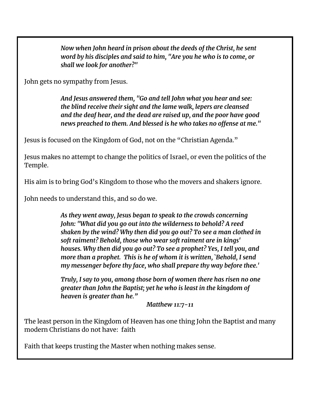*Now when John heard in prison about the deeds of the Christ, he sent word by his disciples and said to him, "Are you he who is to come, or shall we look for another?"*

John gets no sympathy from Jesus.

*And Jesus answered them, "Go and tell John what you hear and see: the blind receive their sight and the lame walk, lepers are cleansed and the deaf hear, and the dead are raised up, and the poor have good news preached to them. And blessed is he who takes no offense at me."*

Jesus is focused on the Kingdom of God, not on the "Christian Agenda."

Jesus makes no attempt to change the politics of Israel, or even the politics of the Temple.

His aim is to bring God's Kingdom to those who the movers and shakers ignore.

John needs to understand this, and so do we.

*As they went away, Jesus began to speak to the crowds concerning John: "What did you go out into the wilderness to behold? A reed shaken by the wind? Why then did you go out? To see a man clothed in soft raiment? Behold, those who wear soft raiment are in kings' houses. Why then did you go out? To see a prophet? Yes, I tell you, and more than a prophet. This is he of whom it is written, `Behold, I send my messenger before thy face, who shall prepare thy way before thee.'*

*Truly, I say to you, among those born of women there has risen no one greater than John the Baptist; yet he who is least in the kingdom of heaven is greater than he."*

*Matthew 11:7-11*

The least person in the Kingdom of Heaven has one thing John the Baptist and many modern Christians do not have: faith

Faith that keeps trusting the Master when nothing makes sense.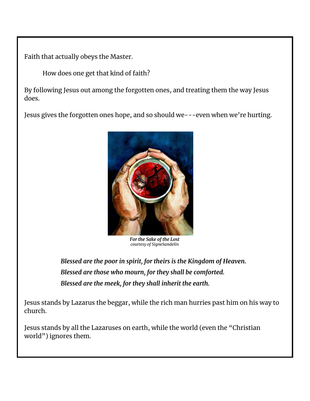Faith that actually obeys the Master.

How does one get that kind of faith?

By following Jesus out among the forgotten ones, and treating them the way Jesus does.

Jesus gives the forgotten ones hope, and so should we---even when we're hurting.



*For the Sake of the Lost courtesy of SigneSandelin*

*Blessed are the poor in spirit, for theirs is the Kingdom of Heaven. Blessed are those who mourn, for they shall be comforted. Blessed are the meek, for they shall inherit the earth.*

Jesus stands by Lazarus the beggar, while the rich man hurries past him on his way to church.

Jesus stands by all the Lazaruses on earth, while the world (even the "Christian world") ignores them.